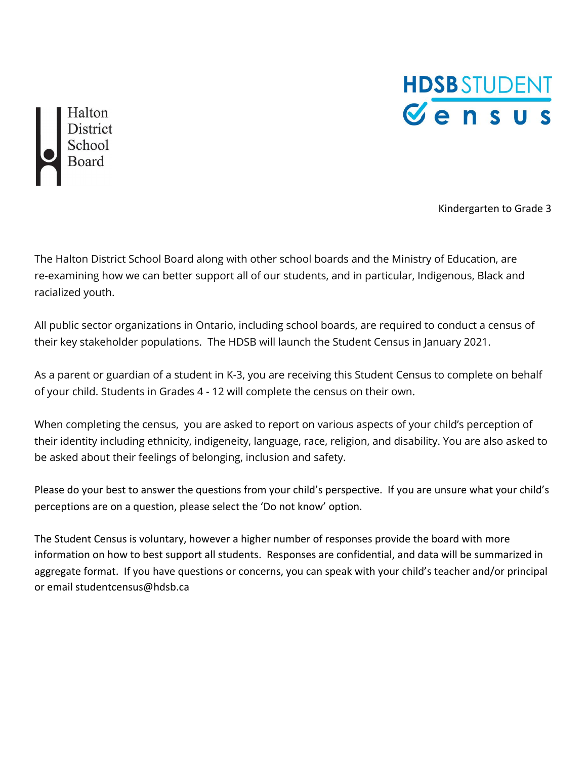

Halton District<br>School<br>Board

Kindergarten to Grade 3

The Halton District School Board along with other school boards and the Ministry of Education, are re-examining how we can better support all of our students, and in particular, Indigenous, Black and racialized youth.

All public sector organizations in Ontario, including school boards, are required to conduct a census of their key stakeholder populations. The HDSB will launch the Student Census in January 2021.

As a parent or guardian of a student in K-3, you are receiving this Student Census to complete on behalf of your child. Students in Grades 4 - 12 will complete the census on their own.

When completing the census, you are asked to report on various aspects of your child's perception of their identity including ethnicity, indigeneity, language, race, religion, and disability. You are also asked to be asked about their feelings of belonging, inclusion and safety.

Please do your best to answer the questions from your child's perspective. If you are unsure what your child's perceptions are on a question, please select the 'Do not know' option.

The Student Census is voluntary, however a higher number of responses provide the board with more information on how to best support all students. Responses are confidential, and data will be summarized in aggregate format. If you have questions or concerns, you can speak with your child's teacher and/or principal or email studentcensus@hdsb.ca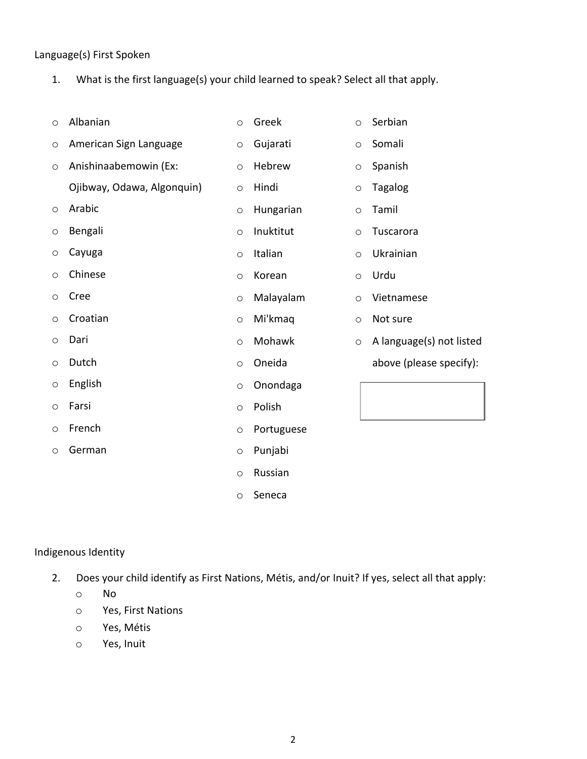#### Language(s) First Spoken

- 1. What is the first language(s) your child learned to speak? Select all that apply.
- o Albanian
- o American Sign Language
- o Anishinaabemowin (Ex:
- Ojibway, Odawa, Algonquin)
- o Arabic
- o Bengali
- o Cayuga
- o Chinese
- o Cree
- o Croatian
- o Dari
- o Dutch
- 
- o English
- o Farsi
- o French
- o German
- o Greek o Gujarati
- o Hebrew
- o Hindi
- o Hungarian
- o Inuktitut
- o Italian
- o Korean
- o Malayalam
- o Mi'kmaq
	- o Mohawk
	- o Oneida
	- o Onondaga
	- o Polish
	- o Portuguese
	- o Punjabi
	- o Russian
	- o Seneca
- o Serbian
	- o Somali
	- o Spanish
- o Tagalog
- o Tamil
- o Tuscarora
	- o Ukrainian
	- o Urdu
	- o Vietnamese
	- o Not sure
	- o A language(s) not listed above (please specify):
		-

#### Indigenous Identity

- 2. Does your child identify as First Nations, Métis, and/or Inuit? If yes, select all that apply:
	- o No
	- o Yes, First Nations
	- o Yes, Métis
	- o Yes, Inuit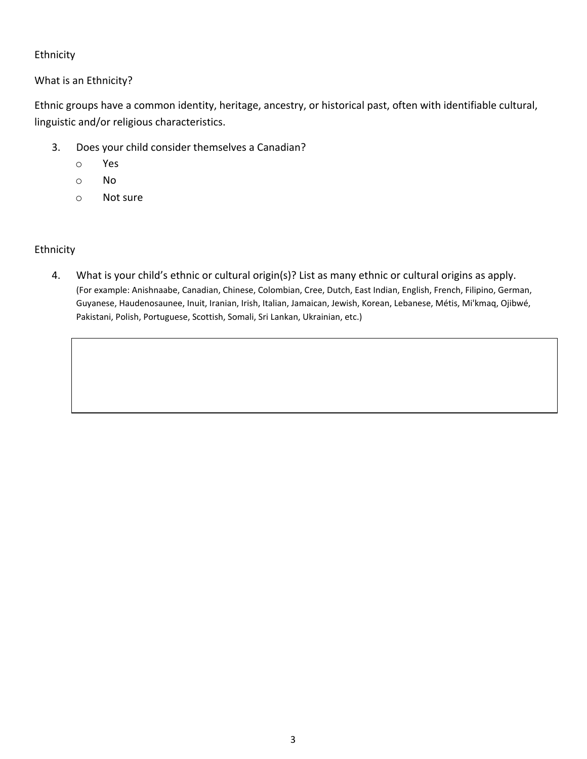### Ethnicity

What is an Ethnicity?

Ethnic groups have a common identity, heritage, ancestry, or historical past, often with identifiable cultural, linguistic and/or religious characteristics.

- 3. Does your child consider themselves a Canadian?
	- o Yes
	- o No
	- o Not sure

#### Ethnicity

4. What is your child's ethnic or cultural origin(s)? List as many ethnic or cultural origins as apply. (For example: Anishnaabe, Canadian, Chinese, Colombian, Cree, Dutch, East Indian, English, French, Filipino, German, Guyanese, Haudenosaunee, Inuit, Iranian, Irish, Italian, Jamaican, Jewish, Korean, Lebanese, Métis, Mi'kmaq, Ojibwé, Pakistani, Polish, Portuguese, Scottish, Somali, Sri Lankan, Ukrainian, etc.)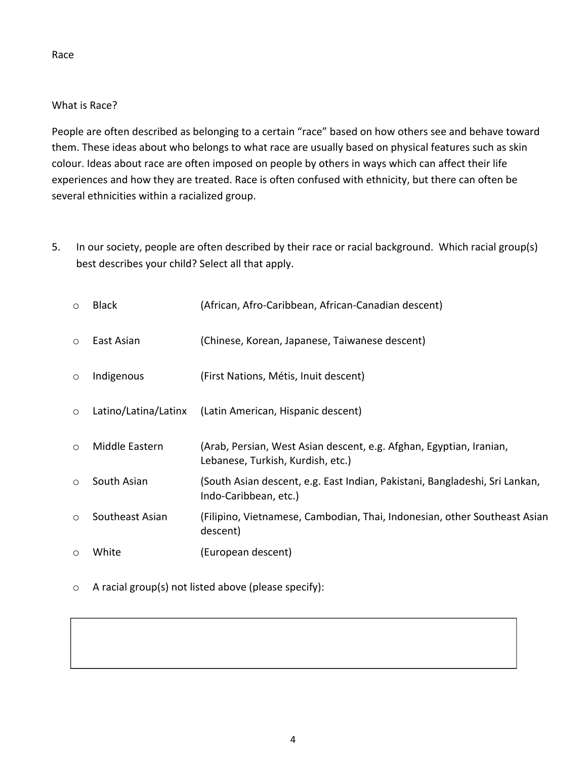#### Race

## What is Race?

People are often described as belonging to a certain "race" based on how others see and behave toward them. These ideas about who belongs to what race are usually based on physical features such as skin colour. Ideas about race are often imposed on people by others in ways which can affect their life experiences and how they are treated. Race is often confused with ethnicity, but there can often be several ethnicities within a racialized group.

5. In our society, people are often described by their race or racial background. Which racial group(s) best describes your child? Select all that apply.

| $\circ$ | <b>Black</b>         | (African, Afro-Caribbean, African-Canadian descent)                                                      |
|---------|----------------------|----------------------------------------------------------------------------------------------------------|
| $\circ$ | East Asian           | (Chinese, Korean, Japanese, Taiwanese descent)                                                           |
| $\circ$ | Indigenous           | (First Nations, Métis, Inuit descent)                                                                    |
| $\circ$ | Latino/Latina/Latinx | (Latin American, Hispanic descent)                                                                       |
| $\circ$ | Middle Eastern       | (Arab, Persian, West Asian descent, e.g. Afghan, Egyptian, Iranian,<br>Lebanese, Turkish, Kurdish, etc.) |
| $\circ$ | South Asian          | (South Asian descent, e.g. East Indian, Pakistani, Bangladeshi, Sri Lankan,<br>Indo-Caribbean, etc.)     |
| $\circ$ | Southeast Asian      | (Filipino, Vietnamese, Cambodian, Thai, Indonesian, other Southeast Asian<br>descent)                    |
| $\circ$ | White                | (European descent)                                                                                       |

o A racial group(s) not listed above (please specify):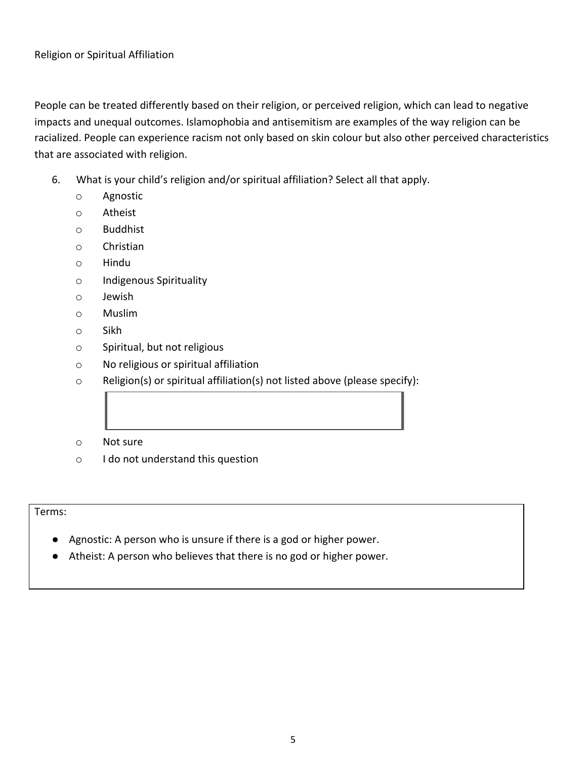People can be treated differently based on their religion, or perceived religion, which can lead to negative impacts and unequal outcomes. Islamophobia and antisemitism are examples of the way religion can be racialized. People can experience racism not only based on skin colour but also other perceived characteristics that are associated with religion.

- 6. What is your child's religion and/or spiritual affiliation? Select all that apply.
	- o Agnostic
	- o Atheist
	- o Buddhist
	- o Christian
	- o Hindu
	- o Indigenous Spirituality
	- o Jewish
	- o Muslim
	- o Sikh
	- o Spiritual, but not religious
	- o No religious or spiritual affiliation
	- o Religion(s) or spiritual affiliation(s) not listed above (please specify):
	- o Not sure
	- o I do not understand this question

Terms:

- Agnostic: A person who is unsure if there is a god or higher power.
- Atheist: A person who believes that there is no god or higher power.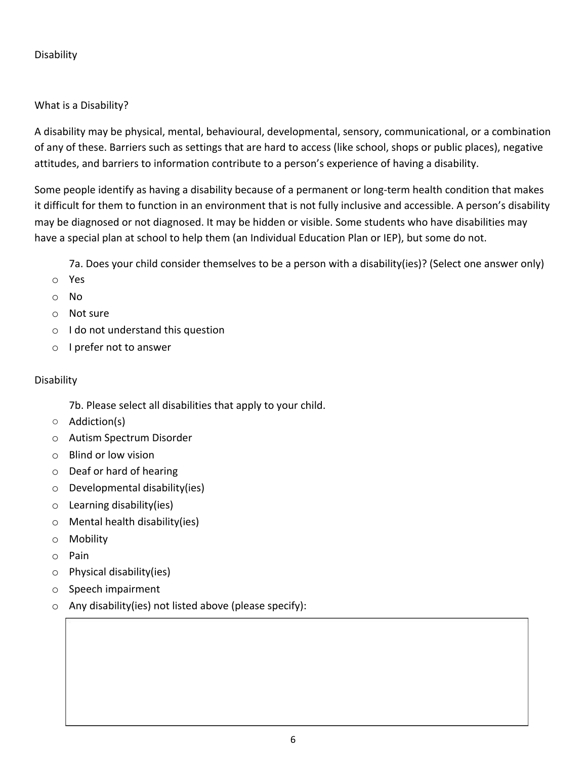## Disability

# What is a Disability?

A disability may be physical, mental, behavioural, developmental, sensory, communicational, or a combination of any of these. Barriers such as settings that are hard to access (like school, shops or public places), negative attitudes, and barriers to information contribute to a person's experience of having a disability.

Some people identify as having a disability because of a permanent or long-term health condition that makes it difficult for them to function in an environment that is not fully inclusive and accessible. A person's disability may be diagnosed or not diagnosed. It may be hidden or visible. Some students who have disabilities may have a special plan at school to help them (an Individual Education Plan or IEP), but some do not.

7a. Does your child consider themselves to be a person with a disability(ies)? (Select one answer only)

- o Yes
- o No
- o Not sure
- o I do not understand this question
- o I prefer not to answer

### Disability

- 7b. Please select all disabilities that apply to your child.
- Addiction(s)
- o Autism Spectrum Disorder
- o Blind or low vision
- o Deaf or hard of hearing
- o Developmental disability(ies)
- o Learning disability(ies)
- o Mental health disability(ies)
- o Mobility
- o Pain
- o Physical disability(ies)
- o Speech impairment
- o Any disability(ies) not listed above (please specify):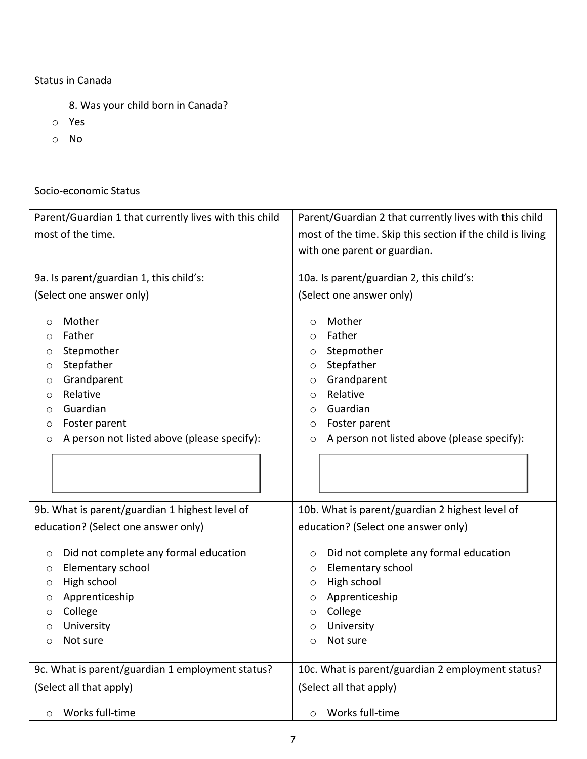### Status in Canada

- 8. Was your child born in Canada?
- o Yes
- o No

# Socio-economic Status

| Parent/Guardian 1 that currently lives with this child | Parent/Guardian 2 that currently lives with this child     |  |  |  |  |  |
|--------------------------------------------------------|------------------------------------------------------------|--|--|--|--|--|
| most of the time.                                      | most of the time. Skip this section if the child is living |  |  |  |  |  |
|                                                        | with one parent or guardian.                               |  |  |  |  |  |
| 9a. Is parent/guardian 1, this child's:                | 10a. Is parent/guardian 2, this child's:                   |  |  |  |  |  |
| (Select one answer only)                               | (Select one answer only)                                   |  |  |  |  |  |
|                                                        |                                                            |  |  |  |  |  |
| Mother                                                 | Mother                                                     |  |  |  |  |  |
| O                                                      | O                                                          |  |  |  |  |  |
| Father                                                 | Father                                                     |  |  |  |  |  |
| O                                                      | O                                                          |  |  |  |  |  |
| Stepmother                                             | Stepmother                                                 |  |  |  |  |  |
| O                                                      | O                                                          |  |  |  |  |  |
| Stepfather                                             | Stepfather                                                 |  |  |  |  |  |
| O                                                      | O                                                          |  |  |  |  |  |
| Grandparent                                            | Grandparent                                                |  |  |  |  |  |
| O                                                      | O                                                          |  |  |  |  |  |
| Relative                                               | Relative                                                   |  |  |  |  |  |
| O                                                      | O                                                          |  |  |  |  |  |
| Guardian                                               | Guardian                                                   |  |  |  |  |  |
| O                                                      | O                                                          |  |  |  |  |  |
| Foster parent                                          | Foster parent                                              |  |  |  |  |  |
| O                                                      | O                                                          |  |  |  |  |  |
| A person not listed above (please specify):            | A person not listed above (please specify):                |  |  |  |  |  |
| O                                                      | $\circ$                                                    |  |  |  |  |  |
|                                                        |                                                            |  |  |  |  |  |
| 9b. What is parent/guardian 1 highest level of         | 10b. What is parent/guardian 2 highest level of            |  |  |  |  |  |
| education? (Select one answer only)                    | education? (Select one answer only)                        |  |  |  |  |  |
| Did not complete any formal education                  | Did not complete any formal education                      |  |  |  |  |  |
| O                                                      | O                                                          |  |  |  |  |  |
| Elementary school                                      | Elementary school                                          |  |  |  |  |  |
| O                                                      | $\circ$                                                    |  |  |  |  |  |
| High school                                            | High school                                                |  |  |  |  |  |
| O                                                      | $\circ$                                                    |  |  |  |  |  |
| Apprenticeship                                         | Apprenticeship                                             |  |  |  |  |  |
| O                                                      | O                                                          |  |  |  |  |  |
| College                                                | College                                                    |  |  |  |  |  |
| O                                                      | O                                                          |  |  |  |  |  |
| University                                             | University                                                 |  |  |  |  |  |
| O                                                      | $\circ$                                                    |  |  |  |  |  |
| Not sure                                               | Not sure                                                   |  |  |  |  |  |
| O                                                      | O                                                          |  |  |  |  |  |
| 9c. What is parent/guardian 1 employment status?       | 10c. What is parent/guardian 2 employment status?          |  |  |  |  |  |
| (Select all that apply)                                | (Select all that apply)                                    |  |  |  |  |  |
| Works full-time                                        | Works full-time                                            |  |  |  |  |  |
| $\circ$                                                | O                                                          |  |  |  |  |  |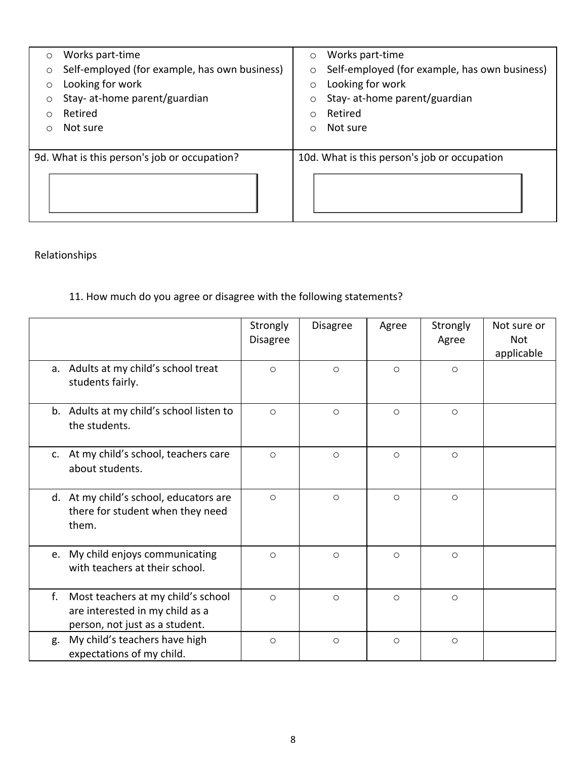| $\circ$ | Works part-time                               | $\circ$    | Works part-time                               |
|---------|-----------------------------------------------|------------|-----------------------------------------------|
| O       | Self-employed (for example, has own business) | $\circ$    | Self-employed (for example, has own business) |
| O       | Looking for work                              | $\circ$    | Looking for work                              |
| O       | Stay- at-home parent/guardian                 |            | Stay- at-home parent/guardian                 |
| ∩       | Retired                                       | ◯          | Retired                                       |
| Ο       | Not sure                                      | $\bigcirc$ | Not sure                                      |
|         |                                               |            |                                               |
|         | 9d. What is this person's job or occupation?  |            | 10d. What is this person's job or occupation  |
|         |                                               |            |                                               |

# Relationships

# 11. How much do you agree or disagree with the following statements?

|    |                                                                                                         | Strongly<br>Disagree | <b>Disagree</b> | Agree   | Strongly<br>Agree | Not sure or<br><b>Not</b><br>applicable |
|----|---------------------------------------------------------------------------------------------------------|----------------------|-----------------|---------|-------------------|-----------------------------------------|
|    | a. Adults at my child's school treat<br>students fairly.                                                | $\circ$              | $\circ$         | $\circ$ | $\circ$           |                                         |
|    | b. Adults at my child's school listen to<br>the students.                                               | $\circ$              | $\circ$         | $\circ$ | $\circ$           |                                         |
|    | c. At my child's school, teachers care<br>about students.                                               | $\circ$              | $\circ$         | $\circ$ | $\circ$           |                                         |
|    | d. At my child's school, educators are<br>there for student when they need<br>them.                     | $\circ$              | $\circ$         | $\circ$ | $\circ$           |                                         |
|    | e. My child enjoys communicating<br>with teachers at their school.                                      | $\circ$              | $\circ$         | $\circ$ | $\circ$           |                                         |
| f. | Most teachers at my child's school<br>are interested in my child as a<br>person, not just as a student. | $\circ$              | $\circ$         | $\circ$ | $\circ$           |                                         |
| g. | My child's teachers have high<br>expectations of my child.                                              | $\circ$              | $\circ$         | $\circ$ | $\circ$           |                                         |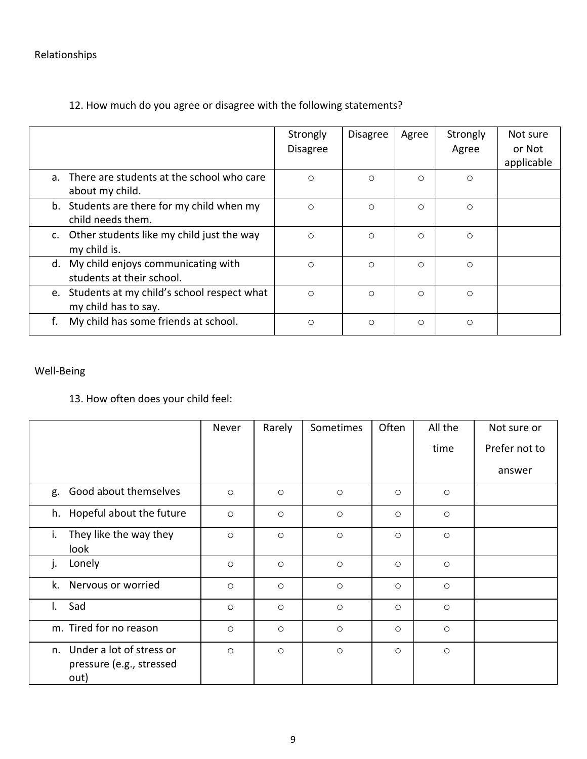# Relationships

|                                                                       | Strongly<br><b>Disagree</b> | <b>Disagree</b> | Agree | Strongly<br>Agree | Not sure<br>or Not<br>applicable |
|-----------------------------------------------------------------------|-----------------------------|-----------------|-------|-------------------|----------------------------------|
| a. There are students at the school who care<br>about my child.       | $\circ$                     | O               | O     | $\circ$           |                                  |
| b. Students are there for my child when my<br>child needs them.       | O                           | O               | O     | $\circ$           |                                  |
| c. Other students like my child just the way<br>my child is.          | $\circ$                     | O               | O     | $\circ$           |                                  |
| d. My child enjoys communicating with<br>students at their school.    | O                           | O               | O     | $\circ$           |                                  |
| e. Students at my child's school respect what<br>my child has to say. | $\circ$                     | O               | O     | $\circ$           |                                  |
| My child has some friends at school.                                  | O                           | $\circ$         | O     | $\circ$           |                                  |

# 12. How much do you agree or disagree with the following statements?

# Well-Being

# 13. How often does your child feel:

|                                                                 | Never   | Rarely  | Sometimes | Often   | All the | Not sure or   |
|-----------------------------------------------------------------|---------|---------|-----------|---------|---------|---------------|
|                                                                 |         |         |           |         | time    | Prefer not to |
|                                                                 |         |         |           |         |         | answer        |
| g. Good about themselves                                        | $\circ$ | $\circ$ | $\circ$   | $\circ$ | $\circ$ |               |
| h. Hopeful about the future                                     | $\circ$ | $\circ$ | $\circ$   | $\circ$ | $\circ$ |               |
| i. They like the way they<br>look                               | $\circ$ | $\circ$ | $\circ$   | $\circ$ | $\circ$ |               |
| Lonely<br>j.                                                    | $\circ$ | $\circ$ | $\circ$   | $\circ$ | $\circ$ |               |
| k. Nervous or worried                                           | $\circ$ | $\circ$ | $\circ$   | $\circ$ | $\circ$ |               |
| Sad<br>$\mathbf{L}$                                             | $\circ$ | $\circ$ | $\circ$   | $\circ$ | $\circ$ |               |
| m. Tired for no reason                                          | $\circ$ | $\circ$ | $\circ$   | $\circ$ | $\circ$ |               |
| n. Under a lot of stress or<br>pressure (e.g., stressed<br>out) | $\circ$ | $\circ$ | $\circ$   | $\circ$ | $\circ$ |               |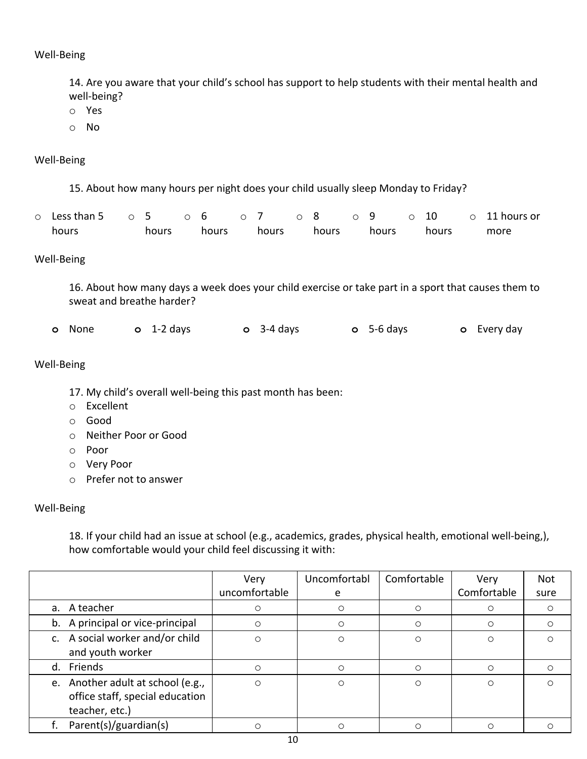Well-Being

14. Are you aware that your child's school has support to help students with their mental health and well-being?

- o Yes
- o No

#### Well-Being

15. About how many hours per night does your child usually sleep Monday to Friday?

| $\circ$ Less than 5 $\circ$ 5 $\circ$ 6 $\circ$ 7 $\circ$ 8 |       |       |       |       | $\circ$ 9 $\circ$ 10 |       | $\circ$ 11 hours or |
|-------------------------------------------------------------|-------|-------|-------|-------|----------------------|-------|---------------------|
| hours                                                       | hours | hours | hours | hours | hours                | hours | more                |

#### Well-Being

16. About how many days a week does your child exercise or take part in a sport that causes them to sweat and breathe harder?

**o** None **o** 1-2 days **o** 3-4 days **o** 5-6 days **o** Every day

#### Well-Being

- 17. My child's overall well-being this past month has been:
- o Excellent
- o Good
- o Neither Poor or Good
- o Poor
- o Very Poor
- o Prefer not to answer

#### Well-Being

18. If your child had an issue at school (e.g., academics, grades, physical health, emotional well-being,), how comfortable would your child feel discussing it with:

|                                   | Very          | Uncomfortabl | Comfortable | Very        | <b>Not</b> |
|-----------------------------------|---------------|--------------|-------------|-------------|------------|
|                                   | uncomfortable | e            |             | Comfortable | sure       |
| a. A teacher                      | O             | O            | $\cap$      |             | O          |
| b. A principal or vice-principal  | ∩             | ∩            |             |             | O          |
| c. A social worker and/or child   | $\circ$       | Ο            | ∩           | $\circ$     |            |
| and youth worker                  |               |              |             |             |            |
| d. Friends                        | ∩             | ∩            | ∩           |             | O          |
| e. Another adult at school (e.g., | $\circ$       | ∩            | $\Omega$    | $\bigcirc$  | ∩          |
| office staff, special education   |               |              |             |             |            |
| teacher, etc.)                    |               |              |             |             |            |
| Parent(s)/guardian(s)             | ∩             |              |             |             |            |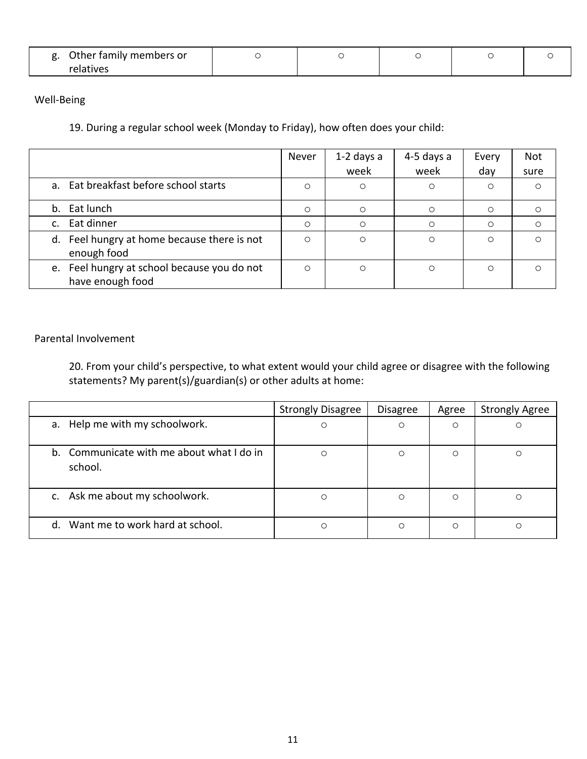| Other family members or |  |  |  |
|-------------------------|--|--|--|
| relatives               |  |  |  |

Well-Being

19. During a regular school week (Monday to Friday), how often does your child:

|                                                                 | Never   | $1-2$ days a<br>week | 4-5 days a<br>week | Every<br>day | <b>Not</b><br>sure |
|-----------------------------------------------------------------|---------|----------------------|--------------------|--------------|--------------------|
| a. Eat breakfast before school starts                           | $\circ$ | O                    | $\circ$            | $\circ$      | $\circ$            |
| b. Eat lunch                                                    | $\circ$ | $\circ$              | $\circ$            | $\circ$      | $\circ$            |
| c. Eat dinner                                                   | $\circ$ | ∩                    | ∩                  | $\circ$      | $\circ$            |
| d. Feel hungry at home because there is not<br>enough food      | $\circ$ | O                    | $\circ$            | $\circ$      | ∩                  |
| e. Feel hungry at school because you do not<br>have enough food | $\circ$ | $\circ$              | Ο                  | $\circ$      | ∩                  |

#### Parental Involvement

20. From your child's perspective, to what extent would your child agree or disagree with the following statements? My parent(s)/guardian(s) or other adults at home:

|                                                      | <b>Strongly Disagree</b> | <b>Disagree</b> | Agree | <b>Strongly Agree</b> |
|------------------------------------------------------|--------------------------|-----------------|-------|-----------------------|
| a. Help me with my schoolwork.                       | O                        | O               | O     | Ο                     |
| b. Communicate with me about what I do in<br>school. | Ο                        | O               | O     | Ο                     |
| c. Ask me about my schoolwork.                       | O                        | $\circ$         | O     | Ο                     |
| d. Want me to work hard at school.                   | О                        | O               | Ο     | ∩                     |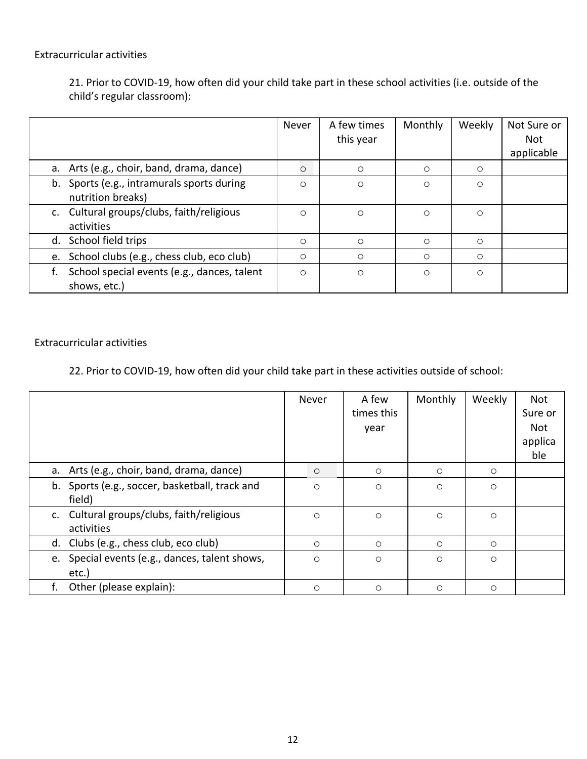### Extracurricular activities

21. Prior to COVID-19, how often did your child take part in these school activities (i.e. outside of the child's regular classroom):

|    |                                             | Never   | A few times | Monthly | Weekly  | Not Sure or |
|----|---------------------------------------------|---------|-------------|---------|---------|-------------|
|    |                                             |         | this year   |         |         | <b>Not</b>  |
|    |                                             |         |             |         |         | applicable  |
|    | a. Arts (e.g., choir, band, drama, dance)   | $\circ$ | $\circ$     | $\circ$ | $\circ$ |             |
|    | b. Sports (e.g., intramurals sports during  | O       | $\circ$     | $\circ$ | $\circ$ |             |
|    | nutrition breaks)                           |         |             |         |         |             |
|    | c. Cultural groups/clubs, faith/religious   | O       | $\circ$     | $\circ$ | $\circ$ |             |
|    | activities                                  |         |             |         |         |             |
|    | d. School field trips                       | $\circ$ | $\circ$     | $\circ$ | $\circ$ |             |
| e. | School clubs (e.g., chess club, eco club)   | O       | $\circ$     | $\circ$ | $\circ$ |             |
|    | School special events (e.g., dances, talent | $\circ$ | $\circ$     | $\circ$ | $\circ$ |             |
|    | shows, etc.)                                |         |             |         |         |             |

#### Extracurricular activities

22. Prior to COVID-19, how often did your child take part in these activities outside of school:

|                                                          | Never   | A few<br>times this<br>year | Monthly | Weekly  | <b>Not</b><br>Sure or<br><b>Not</b><br>applica<br>ble |
|----------------------------------------------------------|---------|-----------------------------|---------|---------|-------------------------------------------------------|
| a. Arts (e.g., choir, band, drama, dance)                | $\circ$ | $\circ$                     | $\circ$ | $\circ$ |                                                       |
| b. Sports (e.g., soccer, basketball, track and<br>field) | $\circ$ | $\circ$                     | $\circ$ | $\circ$ |                                                       |
| c. Cultural groups/clubs, faith/religious<br>activities  | $\circ$ | $\circ$                     | $\circ$ | $\circ$ |                                                       |
| d. Clubs (e.g., chess club, eco club)                    | $\circ$ | $\circ$                     | $\circ$ | $\circ$ |                                                       |
| e. Special events (e.g., dances, talent shows,<br>etc.)  | $\circ$ | $\circ$                     | $\circ$ | $\circ$ |                                                       |
| Other (please explain):<br>f.                            | $\circ$ | $\circ$                     | $\circ$ | $\circ$ |                                                       |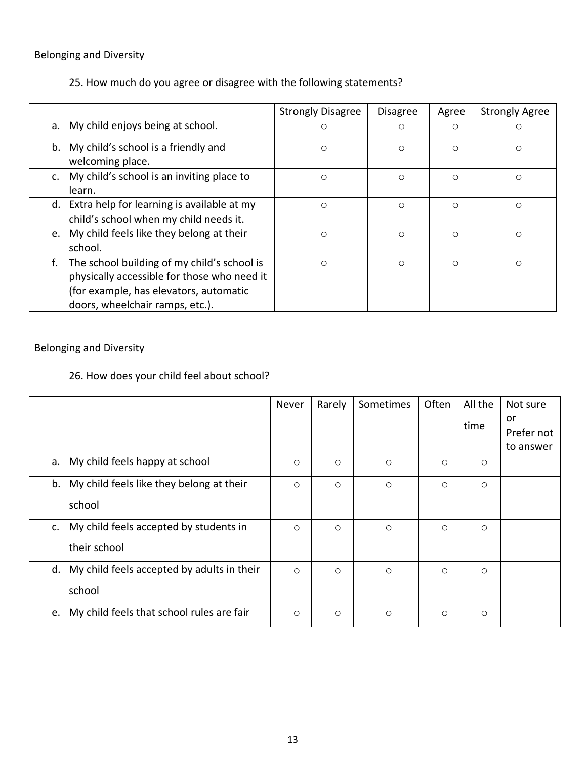# Belonging and Diversity

25. How much do you agree or disagree with the following statements?

|    |                                                                                                                                                                         | <b>Strongly Disagree</b> | <b>Disagree</b> | Agree   | <b>Strongly Agree</b> |
|----|-------------------------------------------------------------------------------------------------------------------------------------------------------------------------|--------------------------|-----------------|---------|-----------------------|
|    | a. My child enjoys being at school.                                                                                                                                     | O                        | $\circ$         | $\circ$ | O                     |
| b. | My child's school is a friendly and<br>welcoming place.                                                                                                                 | O                        | $\circ$         | $\circ$ | O                     |
|    | My child's school is an inviting place to<br>learn.                                                                                                                     | O                        | $\circ$         | $\circ$ | O                     |
|    | d. Extra help for learning is available at my<br>child's school when my child needs it.                                                                                 | O                        | O               | $\circ$ | O                     |
|    | e. My child feels like they belong at their<br>school.                                                                                                                  | O                        | $\circ$         | $\circ$ | O                     |
| f. | The school building of my child's school is<br>physically accessible for those who need it<br>(for example, has elevators, automatic<br>doors, wheelchair ramps, etc.). | O                        | $\circ$         | $\circ$ | O                     |

# Belonging and Diversity

# 26. How does your child feel about school?

|                                                 | Never   | Rarely  | Sometimes | Often   | All the | Not sure         |
|-------------------------------------------------|---------|---------|-----------|---------|---------|------------------|
|                                                 |         |         |           |         | time    | or<br>Prefer not |
|                                                 |         |         |           |         |         | to answer        |
| My child feels happy at school<br>а.            | $\circ$ | $\circ$ | $\circ$   | $\circ$ | $\circ$ |                  |
| My child feels like they belong at their<br>b.  | $\circ$ | $\circ$ | $\circ$   | $\circ$ | $\circ$ |                  |
| school                                          |         |         |           |         |         |                  |
| My child feels accepted by students in<br>c.    | $\circ$ | $\circ$ | $\circ$   | $\circ$ | $\circ$ |                  |
| their school                                    |         |         |           |         |         |                  |
| d. My child feels accepted by adults in their   | $\circ$ | $\circ$ | $\circ$   | $\circ$ | $\circ$ |                  |
| school                                          |         |         |           |         |         |                  |
| My child feels that school rules are fair<br>e. | $\circ$ | $\circ$ | $\circ$   | $\circ$ | O       |                  |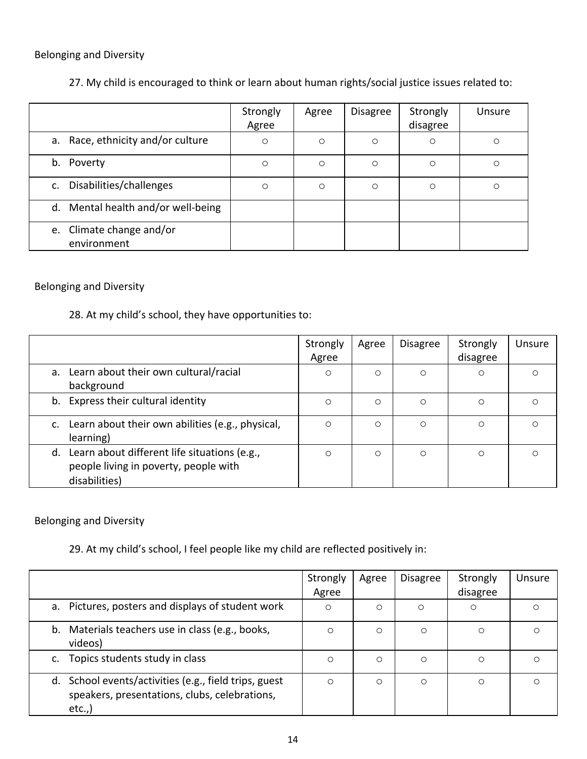# Belonging and Diversity

# 27. My child is encouraged to think or learn about human rights/social justice issues related to:

|                                         | Strongly<br>Agree | Agree   | <b>Disagree</b> | Strongly<br>disagree | Unsure |
|-----------------------------------------|-------------------|---------|-----------------|----------------------|--------|
| Race, ethnicity and/or culture<br>а.    | $\circ$           | $\circ$ | $\circ$         | $\circ$              | O      |
| Poverty<br>b.                           | $\circ$           | $\circ$ | $\circ$         | $\circ$              | О      |
| Disabilities/challenges<br>C.           | $\circ$           | $\circ$ | $\circ$         | $\circ$              | O      |
| Mental health and/or well-being<br>d.   |                   |         |                 |                      |        |
| e. Climate change and/or<br>environment |                   |         |                 |                      |        |

## Belonging and Diversity

## 28. At my child's school, they have opportunities to:

|                                                                                                           | Strongly<br>Agree | Agree   | <b>Disagree</b> | Strongly<br>disagree | Unsure  |
|-----------------------------------------------------------------------------------------------------------|-------------------|---------|-----------------|----------------------|---------|
| a. Learn about their own cultural/racial<br>background                                                    | $\circ$           | $\circ$ | $\circ$         | O                    | $\circ$ |
| b. Express their cultural identity                                                                        | $\circ$           | $\circ$ | $\circ$         | $\circ$              | Ο       |
| c. Learn about their own abilities (e.g., physical,<br>learning)                                          | $\circ$           | $\circ$ | O               | $\circ$              | O       |
| d. Learn about different life situations (e.g.,<br>people living in poverty, people with<br>disabilities) | $\circ$           | $\circ$ | $\circ$         | $\circ$              | $\circ$ |

### Belonging and Diversity

## 29. At my child's school, I feel people like my child are reflected positively in:

|                                                                                                                 | Strongly<br>Agree | Agree   | <b>Disagree</b> | Strongly<br>disagree | Unsure |
|-----------------------------------------------------------------------------------------------------------------|-------------------|---------|-----------------|----------------------|--------|
| a. Pictures, posters and displays of student work                                                               | $\circ$           | $\circ$ | $\circ$         | $\circ$              | Ο      |
| b. Materials teachers use in class (e.g., books,<br>videos)                                                     | O                 | $\circ$ | $\circ$         | $\circ$              | O      |
| Topics students study in class                                                                                  | O                 | $\circ$ | $\circ$         | $\circ$              | O      |
| d. School events/activities (e.g., field trips, guest<br>speakers, presentations, clubs, celebrations,<br>etc., | O                 | $\circ$ | $\circ$         | $\circ$              | O      |